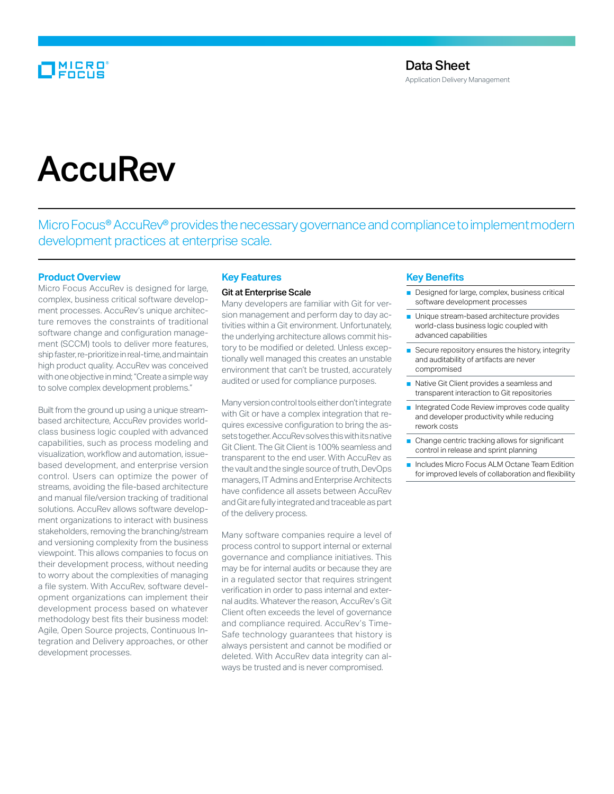# **MICRO**<br>FOCUS

# **AccuRev**

Micro Focus® AccuRev® provides the necessary governance and compliance to implement modern development practices at enterprise scale.

#### **Product Overview**

Micro Focus AccuRev is designed for large, complex, business critical software development processes. AccuRev's unique architecture removes the constraints of traditional software change and configuration management (SCCM) tools to deliver more features, ship faster, re-prioritize in real-time, and maintain high product quality. AccuRev was conceived with one objective in mind; "Create a simple way to solve complex development problems."

Built from the ground up using a unique streambased architecture, AccuRev provides worldclass business logic coupled with advanced capabilities, such as process modeling and visualization, workflow and automation, issuebased development, and enterprise version control. Users can optimize the power of streams, avoiding the file-based architecture and manual file/version tracking of traditional solutions. AccuRev allows software development organizations to interact with business stakeholders, removing the branching/stream and versioning complexity from the business viewpoint. This allows companies to focus on their development process, without needing to worry about the complexities of managing a file system. With AccuRev, software development organizations can implement their development process based on whatever methodology best fits their business model: Agile, Open Source projects, Continuous Integration and Delivery approaches, or other development processes.

# **Key Features**

#### Git at Enterprise Scale

Many developers are familiar with Git for version management and perform day to day activities within a Git environment. Unfortunately, the underlying architecture allows commit history to be modified or deleted. Unless exceptionally well managed this creates an unstable environment that can't be trusted, accurately audited or used for compliance purposes.

Many version control tools either don't integrate with Git or have a complex integration that requires excessive configuration to bring the assets together. AccuRev solves this with its native Git Client. The Git Client is 100% seamless and transparent to the end user. With AccuRev as the vault and the single source of truth, DevOps managers, IT Admins and Enterprise Architects have confidence all assets between AccuRev and Git are fully integrated and traceable as part of the delivery process.

Many software companies require a level of process control to support internal or external governance and compliance initiatives. This may be for internal audits or because they are in a regulated sector that requires stringent verification in order to pass internal and external audits. Whatever the reason, AccuRev's Git Client often exceeds the level of governance and compliance required. AccuRev's Time-Safe technology guarantees that history is always persistent and cannot be modified or deleted. With AccuRev data integrity can always be trusted and is never compromised.

# **Key Benefits**

- Designed for large, complex, business critical software development processes
- Unique stream-based architecture provides world-class business logic coupled with advanced capabilities
- Secure repository ensures the history, integrity and auditability of artifacts are never compromised
- Native Git Client provides a seamless and transparent interaction to Git repositories
- Integrated Code Review improves code quality and developer productivity while reducing rework costs
- Change centric tracking allows for significant control in release and sprint planning
- Includes Micro Focus ALM Octane Team Edition for improved levels of collaboration and flexibility